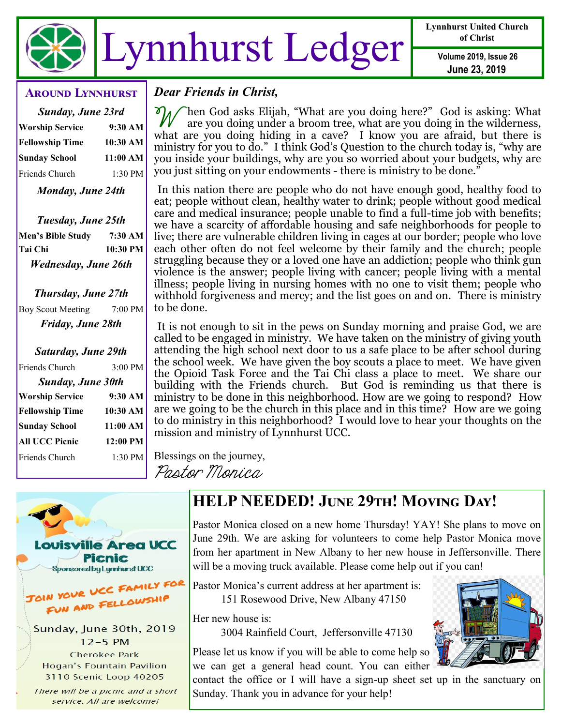

**Lynnhurst United Church of Christ**

**June 23, 2019**

#### **Around Lynnhurst**

| <b>Sunday, June 23rd</b> |           |
|--------------------------|-----------|
| <b>Worship Service</b>   | $9:30$ AM |
| <b>Fellowship Time</b>   | 10:30 AM  |
| Sunday School            | 11:00 AM  |
| Friends Church           | 1:30 PM   |
| Monday, June 24th        |           |

*Tuesday, June 25th* **Men's Bible Study 7:30 AM Tai Chi 10:30 PM**

*Wednesday, June 26th*

*Thursday, June 27th* Boy Scout Meeting 7:00 PM *Friday, June 28th*

| Saturday, June 29th    |            |
|------------------------|------------|
| Friends Church         | 3:00 PM    |
| Sunday, June 30th      |            |
| <b>Worship Service</b> | $9:30$ AM  |
| <b>Fellowship Time</b> | 10:30 AM   |
| <b>Sunday School</b>   | 11:00 AM   |
| <b>All UCC Picnic</b>  | $12:00$ PM |
| Friends Church         | $1:30$ PM  |
|                        |            |

*Dear Friends in Christ,*

 $\mathscr{W}$ hen God asks Elijah, "What are you doing here?" God is asking: What are you doing under a broom tree, what are you doing in the wilderness, what are you doing hiding in a cave? I know you are afraid, but there is ministry for you to do." I think God's Question to the church today is, "why are you inside your buildings, why are you so worried about your budgets, why are you just sitting on your endowments - there is ministry to be done."

In this nation there are people who do not have enough good, healthy food to eat; people without clean, healthy water to drink; people without good medical care and medical insurance; people unable to find a full-time job with benefits; we have a scarcity of affordable housing and safe neighborhoods for people to live; there are vulnerable children living in cages at our border; people who love each other often do not feel welcome by their family and the church; people struggling because they or a loved one have an addiction; people who think gun violence is the answer; people living with cancer; people living with a mental illness; people living in nursing homes with no one to visit them; people who withhold forgiveness and mercy; and the list goes on and on. There is ministry to be done.

It is not enough to sit in the pews on Sunday morning and praise God, we are called to be engaged in ministry. We have taken on the ministry of giving youth attending the high school next door to us a safe place to be after school during the school week. We have given the boy scouts a place to meet. We have given the Opioid Task Force and the Tai Chi class a place to meet. We share our building with the Friends church. But God is reminding us that there is ministry to be done in this neighborhood. How are we going to respond? How are we going to be the church in this place and in this time? How are we going to do ministry in this neighborhood? I would love to hear your thoughts on the mission and ministry of Lynnhurst UCC.

Blessings on the journey,

Pastor Monica

# e Area UCC **Picnic** Sponsored by Lynnhurst UCC JOIN YOUR UCC FAMILY FOR FUN AND FELLOWSHIP Sunday, June 30th, 2019  $12-5$  PM **Cherokee Park Hogan's Fountain Pavilion** 3110 Scenic Loop 40205

There will be a picnic and a short service. All are welcome!

# **HELP NEEDED! June 29th! Moving Day!**

Pastor Monica closed on a new home Thursday! YAY! She plans to move on June 29th. We are asking for volunteers to come help Pastor Monica move from her apartment in New Albany to her new house in Jeffersonville. There will be a moving truck available. Please come help out if you can!

Pastor Monica's current address at her apartment is: 151 Rosewood Drive, New Albany 47150

Her new house is:

3004 Rainfield Court, Jeffersonville 47130

Please let us know if you will be able to come help so we can get a general head count. You can either

contact the office or I will have a sign-up sheet set up in the sanctuary on Sunday. Thank you in advance for your help!